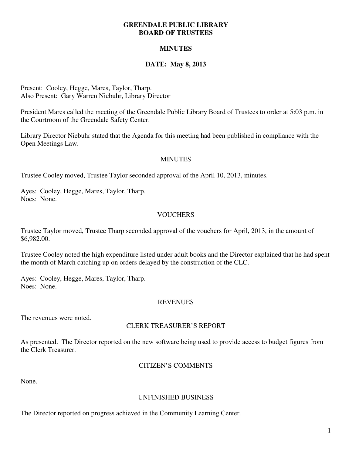#### **GREENDALE PUBLIC LIBRARY BOARD OF TRUSTEES**

# **MINUTES**

## **DATE: May 8, 2013**

Present: Cooley, Hegge, Mares, Taylor, Tharp. Also Present: Gary Warren Niebuhr, Library Director

President Mares called the meeting of the Greendale Public Library Board of Trustees to order at 5:03 p.m. in the Courtroom of the Greendale Safety Center.

Library Director Niebuhr stated that the Agenda for this meeting had been published in compliance with the Open Meetings Law.

### **MINUTES**

Trustee Cooley moved, Trustee Taylor seconded approval of the April 10, 2013, minutes.

Ayes: Cooley, Hegge, Mares, Taylor, Tharp. Noes: None.

### **VOUCHERS**

Trustee Taylor moved, Trustee Tharp seconded approval of the vouchers for April, 2013, in the amount of \$6,982.00.

Trustee Cooley noted the high expenditure listed under adult books and the Director explained that he had spent the month of March catching up on orders delayed by the construction of the CLC.

Ayes: Cooley, Hegge, Mares, Taylor, Tharp. Noes: None.

#### **REVENUES**

The revenues were noted.

#### CLERK TREASURER'S REPORT

As presented. The Director reported on the new software being used to provide access to budget figures from the Clerk Treasurer.

#### CITIZEN'S COMMENTS

None.

#### UNFINISHED BUSINESS

The Director reported on progress achieved in the Community Learning Center.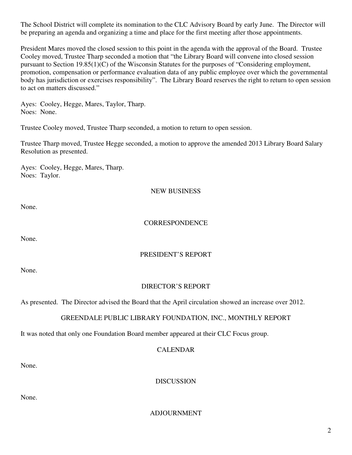The School District will complete its nomination to the CLC Advisory Board by early June. The Director will be preparing an agenda and organizing a time and place for the first meeting after those appointments.

President Mares moved the closed session to this point in the agenda with the approval of the Board. Trustee Cooley moved, Trustee Tharp seconded a motion that "the Library Board will convene into closed session pursuant to Section 19.85(1)(C) of the Wisconsin Statutes for the purposes of "Considering employment, promotion, compensation or performance evaluation data of any public employee over which the governmental body has jurisdiction or exercises responsibility". The Library Board reserves the right to return to open session to act on matters discussed."

Ayes: Cooley, Hegge, Mares, Taylor, Tharp. Noes: None.

Trustee Cooley moved, Trustee Tharp seconded, a motion to return to open session.

Trustee Tharp moved, Trustee Hegge seconded, a motion to approve the amended 2013 Library Board Salary Resolution as presented.

Ayes: Cooley, Hegge, Mares, Tharp. Noes: Taylor.

### NEW BUSINESS

None.

# **CORRESPONDENCE**

None.

# PRESIDENT'S REPORT

None.

### DIRECTOR'S REPORT

As presented. The Director advised the Board that the April circulation showed an increase over 2012.

# GREENDALE PUBLIC LIBRARY FOUNDATION, INC., MONTHLY REPORT

It was noted that only one Foundation Board member appeared at their CLC Focus group.

### CALENDAR

None.

**DISCUSSION** 

None.

ADJOURNMENT